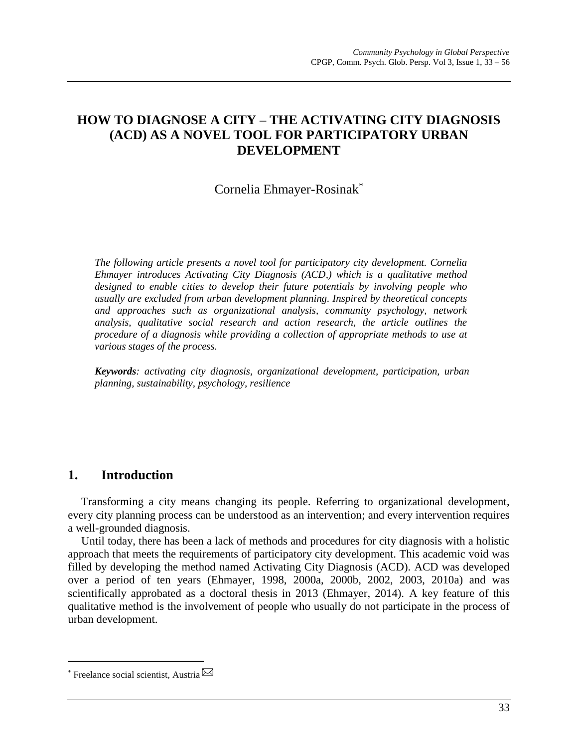# **HOW TO DIAGNOSE A CITY – THE ACTIVATING CITY DIAGNOSIS (ACD) AS A NOVEL TOOL FOR PARTICIPATORY URBAN DEVELOPMENT**

# Cornelia Ehmayer-Rosinak\*

*The following article presents a novel tool for participatory city development. Cornelia Ehmayer introduces Activating City Diagnosis (ACD,) which is a qualitative method designed to enable cities to develop their future potentials by involving people who usually are excluded from urban development planning. Inspired by theoretical concepts and approaches such as organizational analysis, community psychology, network analysis, qualitative social research and action research, the article outlines the procedure of a diagnosis while providing a collection of appropriate methods to use at various stages of the process.*

*Keywords: activating city diagnosis, organizational development, participation, urban planning, sustainability, psychology, resilience*

# **1. Introduction**

Transforming a city means changing its people. Referring to organizational development, every city planning process can be understood as an intervention; and every intervention requires a well-grounded diagnosis.

Until today, there has been a lack of methods and procedures for city diagnosis with a holistic approach that meets the requirements of participatory city development. This academic void was filled by developing the method named Activating City Diagnosis (ACD). ACD was developed over a period of ten years (Ehmayer, 1998, 2000a, 2000b, 2002, 2003, 2010a) and was scientifically approbated as a doctoral thesis in 2013 (Ehmayer, 2014). A key feature of this qualitative method is the involvement of people who usually do not participate in the process of urban development.

 $\overline{a}$ 

<sup>\*</sup> Freelance social scientist, Austria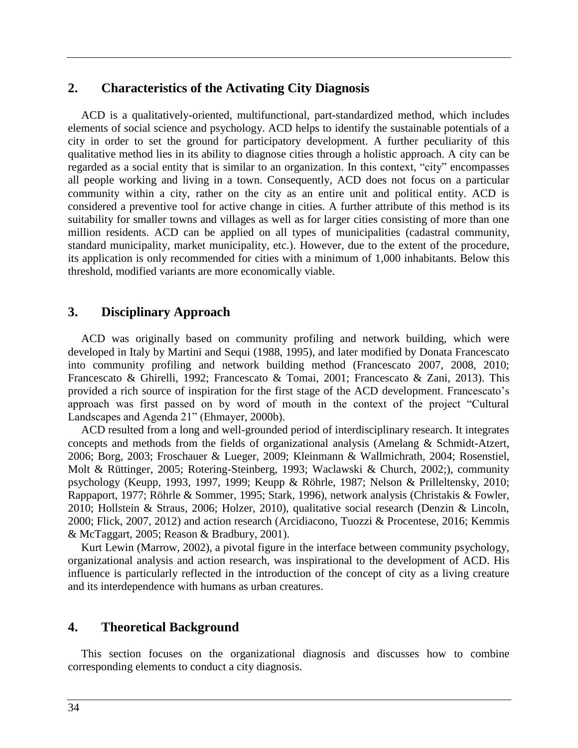# **2. Characteristics of the Activating City Diagnosis**

ACD is a qualitatively-oriented, multifunctional, part-standardized method, which includes elements of social science and psychology. ACD helps to identify the sustainable potentials of a city in order to set the ground for participatory development. A further peculiarity of this qualitative method lies in its ability to diagnose cities through a holistic approach. A city can be regarded as a social entity that is similar to an organization. In this context, "city" encompasses all people working and living in a town. Consequently, ACD does not focus on a particular community within a city, rather on the city as an entire unit and political entity. ACD is considered a preventive tool for active change in cities. A further attribute of this method is its suitability for smaller towns and villages as well as for larger cities consisting of more than one million residents. ACD can be applied on all types of municipalities (cadastral community, standard municipality, market municipality, etc.). However, due to the extent of the procedure, its application is only recommended for cities with a minimum of 1,000 inhabitants. Below this threshold, modified variants are more economically viable.

# **3. Disciplinary Approach**

ACD was originally based on community profiling and network building, which were developed in Italy by Martini and Sequi (1988, 1995), and later modified by Donata Francescato into community profiling and network building method (Francescato 2007, 2008, 2010; Francescato & Ghirelli, 1992; Francescato & Tomai, 2001; Francescato & Zani, 2013). This provided a rich source of inspiration for the first stage of the ACD development. Francescato's approach was first passed on by word of mouth in the context of the project "Cultural Landscapes and Agenda 21" (Ehmayer, 2000b).

ACD resulted from a long and well-grounded period of interdisciplinary research. It integrates concepts and methods from the fields of organizational analysis (Amelang & Schmidt-Atzert, 2006; Borg, 2003; Froschauer & Lueger, 2009; Kleinmann & Wallmichrath, 2004; Rosenstiel, Molt & Rüttinger, 2005; Rotering-Steinberg, 1993; Waclawski & Church, 2002;), community psychology (Keupp, 1993, 1997, 1999; Keupp & Röhrle, 1987; Nelson & Prilleltensky, 2010; Rappaport, 1977; Röhrle & Sommer, 1995; Stark, 1996), network analysis (Christakis & Fowler, 2010; Hollstein & Straus, 2006; Holzer, 2010), qualitative social research (Denzin & Lincoln, 2000; Flick, 2007, 2012) and action research (Arcidiacono, Tuozzi & Procentese, 2016; Kemmis & McTaggart, 2005; Reason & Bradbury, 2001).

Kurt Lewin (Marrow, 2002), a pivotal figure in the interface between community psychology, organizational analysis and action research, was inspirational to the development of ACD. His influence is particularly reflected in the introduction of the concept of city as a living creature and its interdependence with humans as urban creatures.

# **4. Theoretical Background**

This section focuses on the organizational diagnosis and discusses how to combine corresponding elements to conduct a city diagnosis.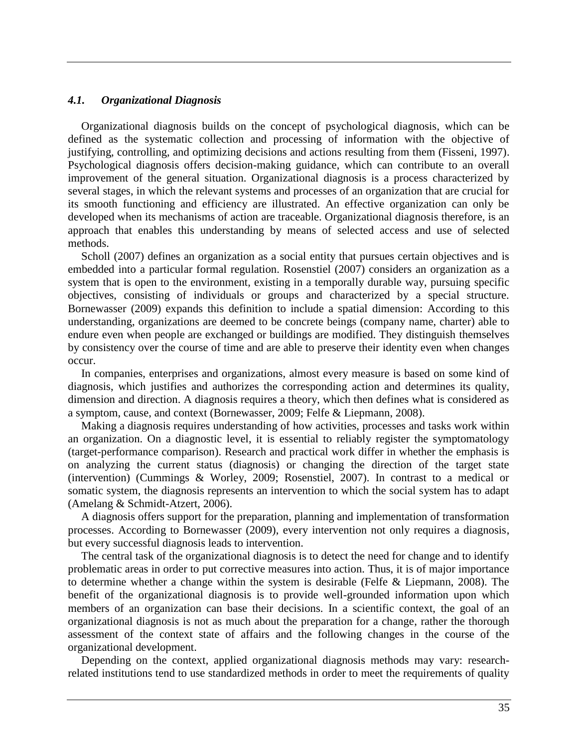### *4.1. Organizational Diagnosis*

Organizational diagnosis builds on the concept of psychological diagnosis, which can be defined as the systematic collection and processing of information with the objective of justifying, controlling, and optimizing decisions and actions resulting from them (Fisseni, 1997). Psychological diagnosis offers decision-making guidance, which can contribute to an overall improvement of the general situation. Organizational diagnosis is a process characterized by several stages, in which the relevant systems and processes of an organization that are crucial for its smooth functioning and efficiency are illustrated. An effective organization can only be developed when its mechanisms of action are traceable. Organizational diagnosis therefore, is an approach that enables this understanding by means of selected access and use of selected methods.

Scholl (2007) defines an organization as a social entity that pursues certain objectives and is embedded into a particular formal regulation. Rosenstiel (2007) considers an organization as a system that is open to the environment, existing in a temporally durable way, pursuing specific objectives, consisting of individuals or groups and characterized by a special structure. Bornewasser (2009) expands this definition to include a spatial dimension: According to this understanding, organizations are deemed to be concrete beings (company name, charter) able to endure even when people are exchanged or buildings are modified. They distinguish themselves by consistency over the course of time and are able to preserve their identity even when changes occur.

In companies, enterprises and organizations, almost every measure is based on some kind of diagnosis, which justifies and authorizes the corresponding action and determines its quality, dimension and direction. A diagnosis requires a theory, which then defines what is considered as a symptom, cause, and context (Bornewasser, 2009; Felfe & Liepmann, 2008).

Making a diagnosis requires understanding of how activities, processes and tasks work within an organization. On a diagnostic level, it is essential to reliably register the symptomatology (target-performance comparison). Research and practical work differ in whether the emphasis is on analyzing the current status (diagnosis) or changing the direction of the target state (intervention) (Cummings & Worley, 2009; Rosenstiel, 2007). In contrast to a medical or somatic system, the diagnosis represents an intervention to which the social system has to adapt (Amelang & Schmidt-Atzert, 2006).

A diagnosis offers support for the preparation, planning and implementation of transformation processes. According to Bornewasser (2009), every intervention not only requires a diagnosis, but every successful diagnosis leads to intervention.

The central task of the organizational diagnosis is to detect the need for change and to identify problematic areas in order to put corrective measures into action. Thus, it is of major importance to determine whether a change within the system is desirable (Felfe & Liepmann, 2008). The benefit of the organizational diagnosis is to provide well-grounded information upon which members of an organization can base their decisions. In a scientific context, the goal of an organizational diagnosis is not as much about the preparation for a change, rather the thorough assessment of the context state of affairs and the following changes in the course of the organizational development.

Depending on the context, applied organizational diagnosis methods may vary: researchrelated institutions tend to use standardized methods in order to meet the requirements of quality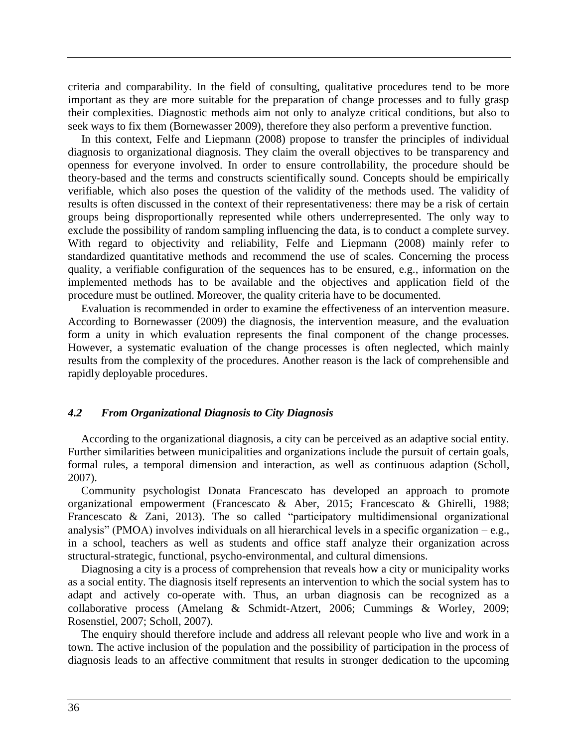criteria and comparability. In the field of consulting, qualitative procedures tend to be more important as they are more suitable for the preparation of change processes and to fully grasp their complexities. Diagnostic methods aim not only to analyze critical conditions, but also to seek ways to fix them (Bornewasser 2009), therefore they also perform a preventive function.

In this context, Felfe and Liepmann (2008) propose to transfer the principles of individual diagnosis to organizational diagnosis. They claim the overall objectives to be transparency and openness for everyone involved. In order to ensure controllability, the procedure should be theory-based and the terms and constructs scientifically sound. Concepts should be empirically verifiable, which also poses the question of the validity of the methods used. The validity of results is often discussed in the context of their representativeness: there may be a risk of certain groups being disproportionally represented while others underrepresented. The only way to exclude the possibility of random sampling influencing the data, is to conduct a complete survey. With regard to objectivity and reliability, Felfe and Liepmann (2008) mainly refer to standardized quantitative methods and recommend the use of scales. Concerning the process quality, a verifiable configuration of the sequences has to be ensured, e.g., information on the implemented methods has to be available and the objectives and application field of the procedure must be outlined. Moreover, the quality criteria have to be documented.

Evaluation is recommended in order to examine the effectiveness of an intervention measure. According to Bornewasser (2009) the diagnosis, the intervention measure, and the evaluation form a unity in which evaluation represents the final component of the change processes. However, a systematic evaluation of the change processes is often neglected, which mainly results from the complexity of the procedures. Another reason is the lack of comprehensible and rapidly deployable procedures.

### *4.2 From Organizational Diagnosis to City Diagnosis*

According to the organizational diagnosis, a city can be perceived as an adaptive social entity. Further similarities between municipalities and organizations include the pursuit of certain goals, formal rules, a temporal dimension and interaction, as well as continuous adaption (Scholl, 2007).

Community psychologist Donata Francescato has developed an approach to promote organizational empowerment (Francescato & Aber, 2015; Francescato & Ghirelli, 1988; Francescato & Zani, 2013). The so called "participatory multidimensional organizational analysis" (PMOA) involves individuals on all hierarchical levels in a specific organization  $-e.g.,$ in a school, teachers as well as students and office staff analyze their organization across structural-strategic, functional, psycho-environmental, and cultural dimensions.

Diagnosing a city is a process of comprehension that reveals how a city or municipality works as a social entity. The diagnosis itself represents an intervention to which the social system has to adapt and actively co-operate with. Thus, an urban diagnosis can be recognized as a collaborative process (Amelang & Schmidt-Atzert, 2006; Cummings & Worley, 2009; Rosenstiel, 2007; Scholl, 2007).

The enquiry should therefore include and address all relevant people who live and work in a town. The active inclusion of the population and the possibility of participation in the process of diagnosis leads to an affective commitment that results in stronger dedication to the upcoming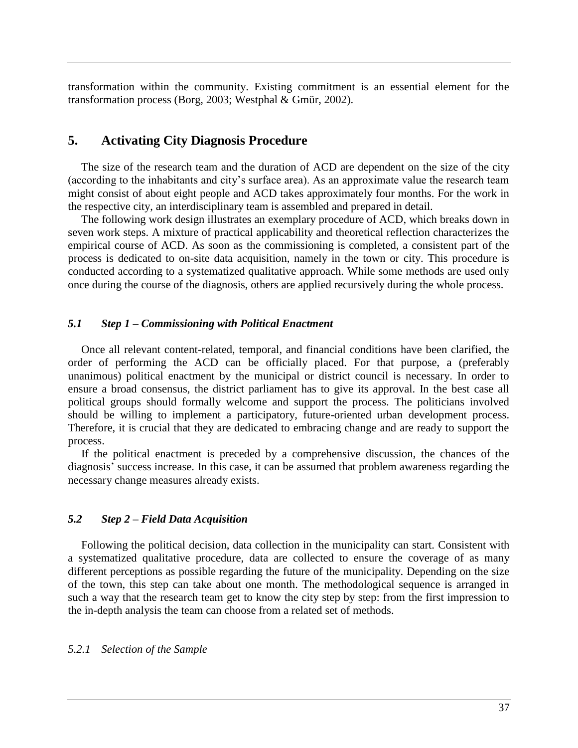transformation within the community. Existing commitment is an essential element for the transformation process (Borg, 2003; Westphal & Gmür, 2002).

# **5. Activating City Diagnosis Procedure**

The size of the research team and the duration of ACD are dependent on the size of the city (according to the inhabitants and city's surface area). As an approximate value the research team might consist of about eight people and ACD takes approximately four months. For the work in the respective city, an interdisciplinary team is assembled and prepared in detail.

The following work design illustrates an exemplary procedure of ACD, which breaks down in seven work steps. A mixture of practical applicability and theoretical reflection characterizes the empirical course of ACD. As soon as the commissioning is completed, a consistent part of the process is dedicated to on-site data acquisition, namely in the town or city. This procedure is conducted according to a systematized qualitative approach. While some methods are used only once during the course of the diagnosis, others are applied recursively during the whole process.

### *5.1 Step 1 – Commissioning with Political Enactment*

Once all relevant content-related, temporal, and financial conditions have been clarified, the order of performing the ACD can be officially placed. For that purpose, a (preferably unanimous) political enactment by the municipal or district council is necessary. In order to ensure a broad consensus, the district parliament has to give its approval. In the best case all political groups should formally welcome and support the process. The politicians involved should be willing to implement a participatory, future-oriented urban development process. Therefore, it is crucial that they are dedicated to embracing change and are ready to support the process.

If the political enactment is preceded by a comprehensive discussion, the chances of the diagnosis' success increase. In this case, it can be assumed that problem awareness regarding the necessary change measures already exists.

### *5.2 Step 2 – Field Data Acquisition*

Following the political decision, data collection in the municipality can start. Consistent with a systematized qualitative procedure, data are collected to ensure the coverage of as many different perceptions as possible regarding the future of the municipality. Depending on the size of the town, this step can take about one month. The methodological sequence is arranged in such a way that the research team get to know the city step by step: from the first impression to the in-depth analysis the team can choose from a related set of methods.

### *5.2.1 Selection of the Sample*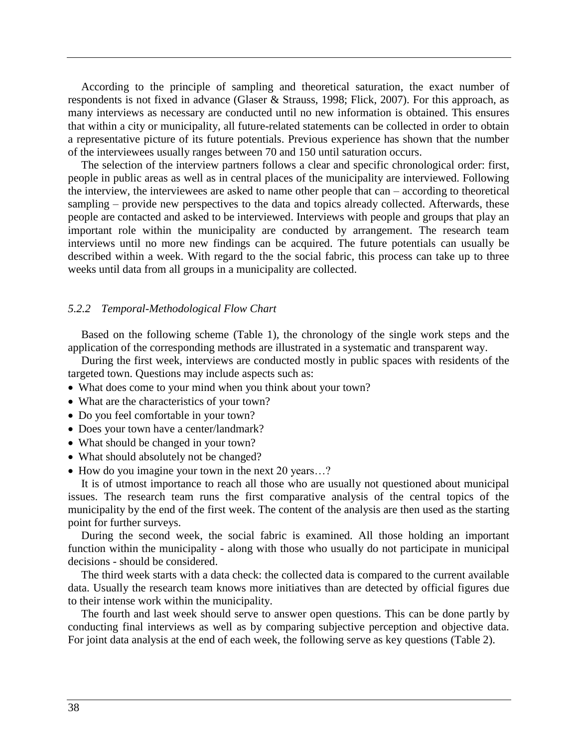According to the principle of sampling and theoretical saturation, the exact number of respondents is not fixed in advance (Glaser & Strauss, 1998; Flick, 2007). For this approach, as many interviews as necessary are conducted until no new information is obtained. This ensures that within a city or municipality, all future-related statements can be collected in order to obtain a representative picture of its future potentials. Previous experience has shown that the number of the interviewees usually ranges between 70 and 150 until saturation occurs.

The selection of the interview partners follows a clear and specific chronological order: first, people in public areas as well as in central places of the municipality are interviewed. Following the interview, the interviewees are asked to name other people that can – according to theoretical sampling – provide new perspectives to the data and topics already collected. Afterwards, these people are contacted and asked to be interviewed. Interviews with people and groups that play an important role within the municipality are conducted by arrangement. The research team interviews until no more new findings can be acquired. The future potentials can usually be described within a week. With regard to the the social fabric, this process can take up to three weeks until data from all groups in a municipality are collected.

#### *5.2.2 Temporal-Methodological Flow Chart*

Based on the following scheme (Table 1), the chronology of the single work steps and the application of the corresponding methods are illustrated in a systematic and transparent way.

During the first week, interviews are conducted mostly in public spaces with residents of the targeted town. Questions may include aspects such as:

- What does come to your mind when you think about your town?
- What are the characteristics of your town?
- Do you feel comfortable in your town?
- Does your town have a center/landmark?
- What should be changed in your town?
- What should absolutely not be changed?
- How do you imagine your town in the next 20 years...?

It is of utmost importance to reach all those who are usually not questioned about municipal issues. The research team runs the first comparative analysis of the central topics of the municipality by the end of the first week. The content of the analysis are then used as the starting point for further surveys.

During the second week, the social fabric is examined. All those holding an important function within the municipality - along with those who usually do not participate in municipal decisions - should be considered.

The third week starts with a data check: the collected data is compared to the current available data. Usually the research team knows more initiatives than are detected by official figures due to their intense work within the municipality.

The fourth and last week should serve to answer open questions. This can be done partly by conducting final interviews as well as by comparing subjective perception and objective data. For joint data analysis at the end of each week, the following serve as key questions (Table 2).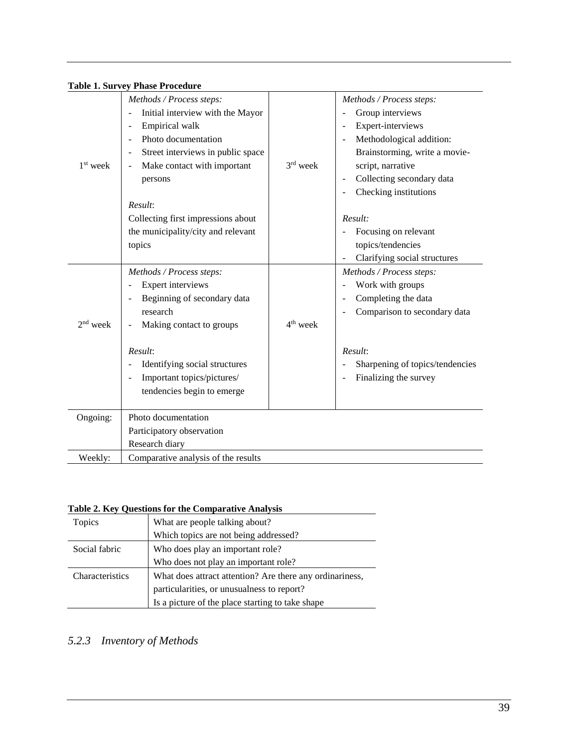| <b>Table 1. Survey Phase Procedure</b> |  |
|----------------------------------------|--|
|----------------------------------------|--|

| $1st$ week | Methods / Process steps:<br>Initial interview with the Mayor<br>$\overline{a}$<br>Empirical walk<br>$\overline{\phantom{a}}$<br>Photo documentation<br>Street interviews in public space<br>$\overline{\phantom{a}}$<br>Make contact with important<br>persons | 3rd week             | Methods / Process steps:<br>Group interviews<br>Expert-interviews<br>Methodological addition:<br>$\overline{\phantom{a}}$<br>Brainstorming, write a movie-<br>script, narrative<br>Collecting secondary data |
|------------|----------------------------------------------------------------------------------------------------------------------------------------------------------------------------------------------------------------------------------------------------------------|----------------------|--------------------------------------------------------------------------------------------------------------------------------------------------------------------------------------------------------------|
|            | Result:<br>Collecting first impressions about<br>the municipality/city and relevant<br>topics                                                                                                                                                                  |                      | Checking institutions<br>Result:<br>Focusing on relevant<br>topics/tendencies<br>Clarifying social structures                                                                                                |
|            | Methods / Process steps:                                                                                                                                                                                                                                       |                      | Methods / Process steps:                                                                                                                                                                                     |
|            | Expert interviews<br>$\overline{\phantom{a}}$                                                                                                                                                                                                                  |                      | Work with groups                                                                                                                                                                                             |
|            | Beginning of secondary data<br>research                                                                                                                                                                                                                        |                      | Completing the data<br>Comparison to secondary data                                                                                                                                                          |
| $2nd$ week | Making contact to groups                                                                                                                                                                                                                                       | 4 <sup>th</sup> week |                                                                                                                                                                                                              |
|            | Result:<br>Identifying social structures<br>Important topics/pictures/<br>tendencies begin to emerge                                                                                                                                                           |                      | Result:<br>Sharpening of topics/tendencies<br>Finalizing the survey                                                                                                                                          |
| Ongoing:   | Photo documentation                                                                                                                                                                                                                                            |                      |                                                                                                                                                                                                              |
|            | Participatory observation                                                                                                                                                                                                                                      |                      |                                                                                                                                                                                                              |
|            | Research diary                                                                                                                                                                                                                                                 |                      |                                                                                                                                                                                                              |
| Weekly:    | Comparative analysis of the results                                                                                                                                                                                                                            |                      |                                                                                                                                                                                                              |

# **Table 2. Key Questions for the Comparative Analysis**

| Topics          | What are people talking about?                           |  |
|-----------------|----------------------------------------------------------|--|
|                 | Which topics are not being addressed?                    |  |
| Social fabric   | Who does play an important role?                         |  |
|                 | Who does not play an important role?                     |  |
| Characteristics | What does attract attention? Are there any ordinariness, |  |
|                 | particularities, or unusualness to report?               |  |
|                 | Is a picture of the place starting to take shape         |  |

# *5.2.3 Inventory of Methods*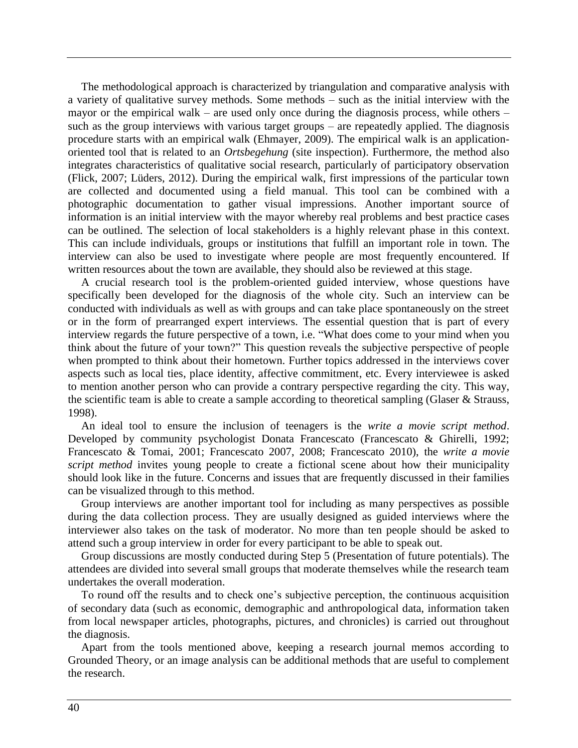The methodological approach is characterized by triangulation and comparative analysis with a variety of qualitative survey methods. Some methods – such as the initial interview with the mayor or the empirical walk – are used only once during the diagnosis process, while others – such as the group interviews with various target groups – are repeatedly applied. The diagnosis procedure starts with an empirical walk (Ehmayer, 2009). The empirical walk is an applicationoriented tool that is related to an *Ortsbegehung* (site inspection). Furthermore, the method also integrates characteristics of qualitative social research, particularly of participatory observation (Flick, 2007; Lüders, 2012). During the empirical walk, first impressions of the particular town are collected and documented using a field manual. This tool can be combined with a photographic documentation to gather visual impressions. Another important source of information is an initial interview with the mayor whereby real problems and best practice cases can be outlined. The selection of local stakeholders is a highly relevant phase in this context. This can include individuals, groups or institutions that fulfill an important role in town. The interview can also be used to investigate where people are most frequently encountered. If written resources about the town are available, they should also be reviewed at this stage.

A crucial research tool is the problem-oriented guided interview, whose questions have specifically been developed for the diagnosis of the whole city. Such an interview can be conducted with individuals as well as with groups and can take place spontaneously on the street or in the form of prearranged expert interviews. The essential question that is part of every interview regards the future perspective of a town, i.e. "What does come to your mind when you think about the future of your town?" This question reveals the subjective perspective of people when prompted to think about their hometown. Further topics addressed in the interviews cover aspects such as local ties, place identity, affective commitment, etc. Every interviewee is asked to mention another person who can provide a contrary perspective regarding the city. This way, the scientific team is able to create a sample according to theoretical sampling (Glaser & Strauss, 1998).

An ideal tool to ensure the inclusion of teenagers is the *write a movie script method*. Developed by community psychologist Donata Francescato (Francescato & Ghirelli, 1992; Francescato & Tomai, 2001; Francescato 2007, 2008; Francescato 2010), the *write a movie script method* invites young people to create a fictional scene about how their municipality should look like in the future. Concerns and issues that are frequently discussed in their families can be visualized through to this method.

Group interviews are another important tool for including as many perspectives as possible during the data collection process. They are usually designed as guided interviews where the interviewer also takes on the task of moderator. No more than ten people should be asked to attend such a group interview in order for every participant to be able to speak out.

Group discussions are mostly conducted during Step 5 (Presentation of future potentials). The attendees are divided into several small groups that moderate themselves while the research team undertakes the overall moderation.

To round off the results and to check one's subjective perception, the continuous acquisition of secondary data (such as economic, demographic and anthropological data, information taken from local newspaper articles, photographs, pictures, and chronicles) is carried out throughout the diagnosis.

Apart from the tools mentioned above, keeping a research journal memos according to Grounded Theory, or an image analysis can be additional methods that are useful to complement the research.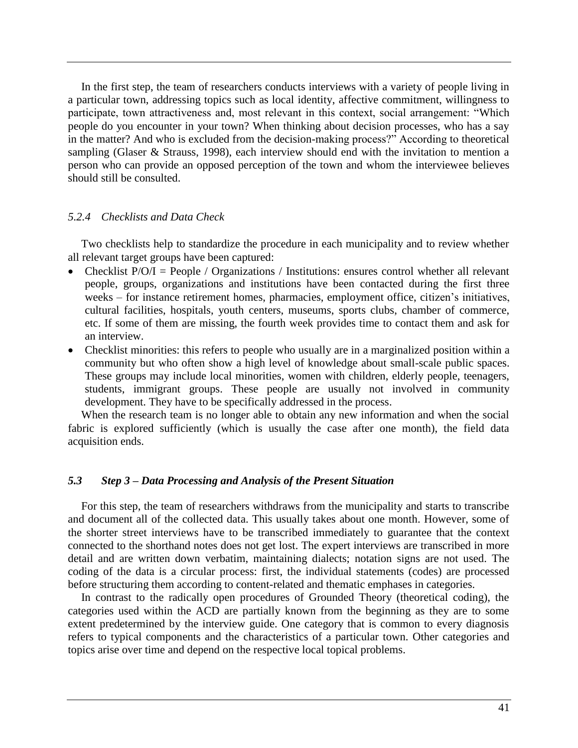In the first step, the team of researchers conducts interviews with a variety of people living in a particular town, addressing topics such as local identity, affective commitment, willingness to participate, town attractiveness and, most relevant in this context, social arrangement: "Which people do you encounter in your town? When thinking about decision processes, who has a say in the matter? And who is excluded from the decision-making process?" According to theoretical sampling (Glaser & Strauss, 1998), each interview should end with the invitation to mention a person who can provide an opposed perception of the town and whom the interviewee believes should still be consulted.

### *5.2.4 Checklists and Data Check*

Two checklists help to standardize the procedure in each municipality and to review whether all relevant target groups have been captured:

- Checklist  $P/O/I = People / Organizations / Institutions$ : ensures control whether all relevant people, groups, organizations and institutions have been contacted during the first three weeks – for instance retirement homes, pharmacies, employment office, citizen's initiatives, cultural facilities, hospitals, youth centers, museums, sports clubs, chamber of commerce, etc. If some of them are missing, the fourth week provides time to contact them and ask for an interview.
- Checklist minorities: this refers to people who usually are in a marginalized position within a community but who often show a high level of knowledge about small-scale public spaces. These groups may include local minorities, women with children, elderly people, teenagers, students, immigrant groups. These people are usually not involved in community development. They have to be specifically addressed in the process.

When the research team is no longer able to obtain any new information and when the social fabric is explored sufficiently (which is usually the case after one month), the field data acquisition ends.

### *5.3 Step 3 – Data Processing and Analysis of the Present Situation*

For this step, the team of researchers withdraws from the municipality and starts to transcribe and document all of the collected data. This usually takes about one month. However, some of the shorter street interviews have to be transcribed immediately to guarantee that the context connected to the shorthand notes does not get lost. The expert interviews are transcribed in more detail and are written down verbatim, maintaining dialects; notation signs are not used. The coding of the data is a circular process: first, the individual statements (codes) are processed before structuring them according to content-related and thematic emphases in categories.

In contrast to the radically open procedures of Grounded Theory (theoretical coding), the categories used within the ACD are partially known from the beginning as they are to some extent predetermined by the interview guide. One category that is common to every diagnosis refers to typical components and the characteristics of a particular town. Other categories and topics arise over time and depend on the respective local topical problems.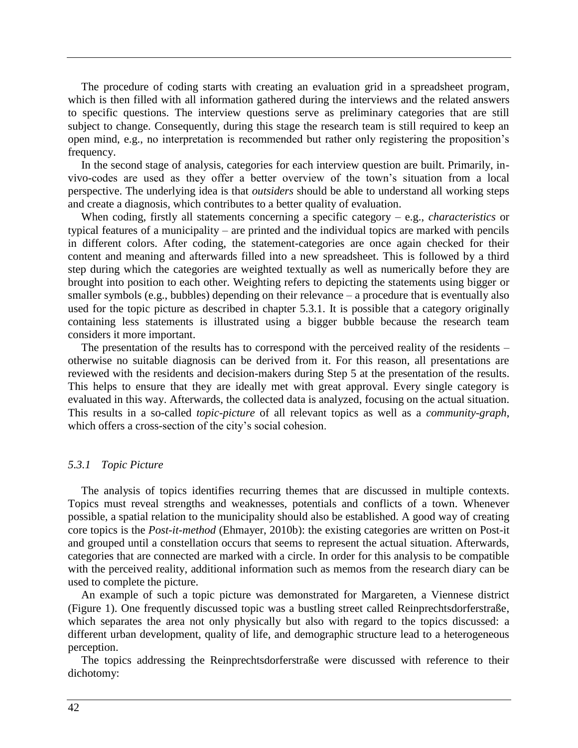The procedure of coding starts with creating an evaluation grid in a spreadsheet program, which is then filled with all information gathered during the interviews and the related answers to specific questions. The interview questions serve as preliminary categories that are still subject to change. Consequently, during this stage the research team is still required to keep an open mind, e.g., no interpretation is recommended but rather only registering the proposition's frequency.

In the second stage of analysis, categories for each interview question are built. Primarily, invivo-codes are used as they offer a better overview of the town's situation from a local perspective. The underlying idea is that *outsiders* should be able to understand all working steps and create a diagnosis, which contributes to a better quality of evaluation.

When coding, firstly all statements concerning a specific category – e.g., *characteristics* or typical features of a municipality – are printed and the individual topics are marked with pencils in different colors. After coding, the statement-categories are once again checked for their content and meaning and afterwards filled into a new spreadsheet. This is followed by a third step during which the categories are weighted textually as well as numerically before they are brought into position to each other. Weighting refers to depicting the statements using bigger or smaller symbols (e.g., bubbles) depending on their relevance – a procedure that is eventually also used for the topic picture as described in chapter 5.3.1. It is possible that a category originally containing less statements is illustrated using a bigger bubble because the research team considers it more important.

The presentation of the results has to correspond with the perceived reality of the residents – otherwise no suitable diagnosis can be derived from it. For this reason, all presentations are reviewed with the residents and decision-makers during Step 5 at the presentation of the results. This helps to ensure that they are ideally met with great approval. Every single category is evaluated in this way. Afterwards, the collected data is analyzed, focusing on the actual situation. This results in a so-called *topic-picture* of all relevant topics as well as a *community-graph*, which offers a cross-section of the city's social cohesion.

#### *5.3.1 Topic Picture*

The analysis of topics identifies recurring themes that are discussed in multiple contexts. Topics must reveal strengths and weaknesses, potentials and conflicts of a town. Whenever possible, a spatial relation to the municipality should also be established. A good way of creating core topics is the *Post-it-method* (Ehmayer, 2010b): the existing categories are written on Post-it and grouped until a constellation occurs that seems to represent the actual situation. Afterwards, categories that are connected are marked with a circle. In order for this analysis to be compatible with the perceived reality, additional information such as memos from the research diary can be used to complete the picture.

An example of such a topic picture was demonstrated for Margareten, a Viennese district (Figure 1). One frequently discussed topic was a bustling street called Reinprechtsdorferstraße, which separates the area not only physically but also with regard to the topics discussed: a different urban development, quality of life, and demographic structure lead to a heterogeneous perception.

The topics addressing the Reinprechtsdorferstraße were discussed with reference to their dichotomy: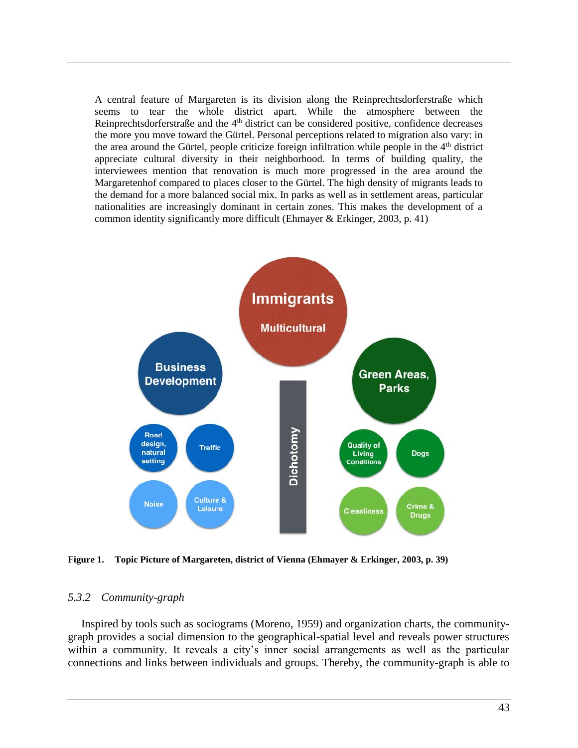A central feature of Margareten is its division along the Reinprechtsdorferstraße which seems to tear the whole district apart. While the atmosphere between the Reinprechtsdorferstraße and the  $4<sup>th</sup>$  district can be considered positive, confidence decreases the more you move toward the Gürtel. Personal perceptions related to migration also vary: in the area around the Gürtel, people criticize foreign infiltration while people in the 4<sup>th</sup> district appreciate cultural diversity in their neighborhood. In terms of building quality, the interviewees mention that renovation is much more progressed in the area around the Margaretenhof compared to places closer to the Gürtel. The high density of migrants leads to the demand for a more balanced social mix. In parks as well as in settlement areas, particular nationalities are increasingly dominant in certain zones. This makes the development of a common identity significantly more difficult (Ehmayer & Erkinger, 2003, p. 41)



**Figure 1. Topic Picture of Margareten, district of Vienna (Ehmayer & Erkinger, 2003, p. 39)**

#### *5.3.2 Community-graph*

Inspired by tools such as sociograms (Moreno, 1959) and organization charts, the communitygraph provides a social dimension to the geographical-spatial level and reveals power structures within a community. It reveals a city's inner social arrangements as well as the particular connections and links between individuals and groups. Thereby, the community-graph is able to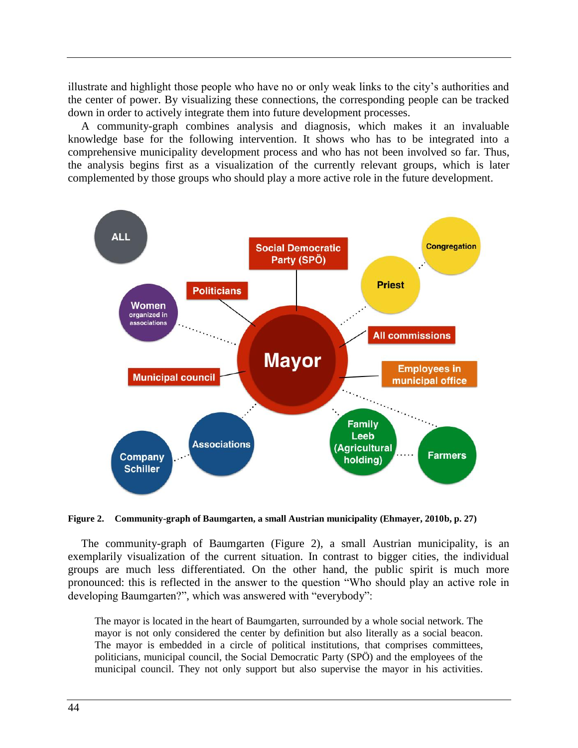illustrate and highlight those people who have no or only weak links to the city's authorities and the center of power. By visualizing these connections, the corresponding people can be tracked down in order to actively integrate them into future development processes.

A community-graph combines analysis and diagnosis, which makes it an invaluable knowledge base for the following intervention. It shows who has to be integrated into a comprehensive municipality development process and who has not been involved so far. Thus, the analysis begins first as a visualization of the currently relevant groups, which is later complemented by those groups who should play a more active role in the future development.



**Figure 2. Community-graph of Baumgarten, a small Austrian municipality (Ehmayer, 2010b, p. 27)**

The community-graph of Baumgarten (Figure 2), a small Austrian municipality, is an exemplarily visualization of the current situation. In contrast to bigger cities, the individual groups are much less differentiated. On the other hand, the public spirit is much more pronounced: this is reflected in the answer to the question "Who should play an active role in developing Baumgarten?", which was answered with "everybody":

The mayor is located in the heart of Baumgarten, surrounded by a whole social network. The mayor is not only considered the center by definition but also literally as a social beacon. The mayor is embedded in a circle of political institutions, that comprises committees, politicians, municipal council, the Social Democratic Party (SPÖ) and the employees of the municipal council. They not only support but also supervise the mayor in his activities.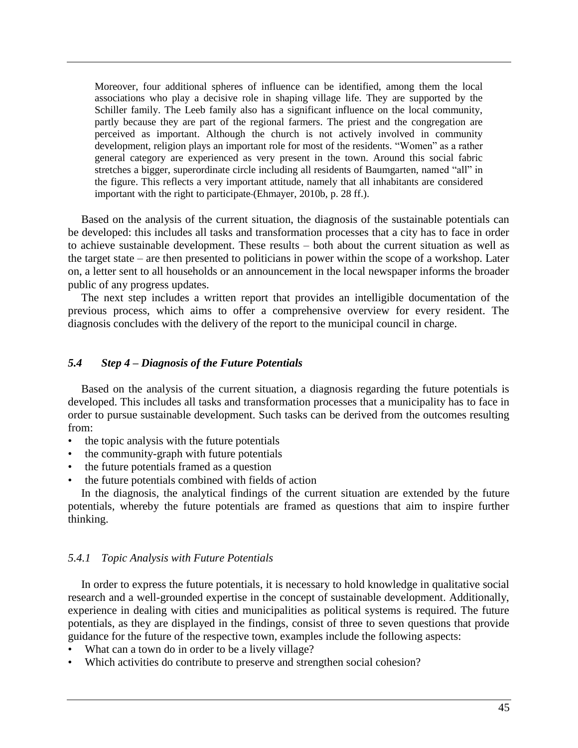Moreover, four additional spheres of influence can be identified, among them the local associations who play a decisive role in shaping village life. They are supported by the Schiller family. The Leeb family also has a significant influence on the local community, partly because they are part of the regional farmers. The priest and the congregation are perceived as important. Although the church is not actively involved in community development, religion plays an important role for most of the residents. "Women" as a rather general category are experienced as very present in the town. Around this social fabric stretches a bigger, superordinate circle including all residents of Baumgarten, named "all" in the figure. This reflects a very important attitude, namely that all inhabitants are considered important with the right to participate (Ehmayer, 2010b, p. 28 ff.).

Based on the analysis of the current situation, the diagnosis of the sustainable potentials can be developed: this includes all tasks and transformation processes that a city has to face in order to achieve sustainable development. These results – both about the current situation as well as the target state – are then presented to politicians in power within the scope of a workshop. Later on, a letter sent to all households or an announcement in the local newspaper informs the broader public of any progress updates.

The next step includes a written report that provides an intelligible documentation of the previous process, which aims to offer a comprehensive overview for every resident. The diagnosis concludes with the delivery of the report to the municipal council in charge.

### *5.4 Step 4 – Diagnosis of the Future Potentials*

Based on the analysis of the current situation, a diagnosis regarding the future potentials is developed. This includes all tasks and transformation processes that a municipality has to face in order to pursue sustainable development. Such tasks can be derived from the outcomes resulting from:

- the topic analysis with the future potentials
- the community-graph with future potentials
- the future potentials framed as a question
- the future potentials combined with fields of action

In the diagnosis, the analytical findings of the current situation are extended by the future potentials, whereby the future potentials are framed as questions that aim to inspire further thinking.

## *5.4.1 Topic Analysis with Future Potentials*

In order to express the future potentials, it is necessary to hold knowledge in qualitative social research and a well-grounded expertise in the concept of sustainable development. Additionally, experience in dealing with cities and municipalities as political systems is required. The future potentials, as they are displayed in the findings, consist of three to seven questions that provide guidance for the future of the respective town, examples include the following aspects:

- What can a town do in order to be a lively village?
- Which activities do contribute to preserve and strengthen social cohesion?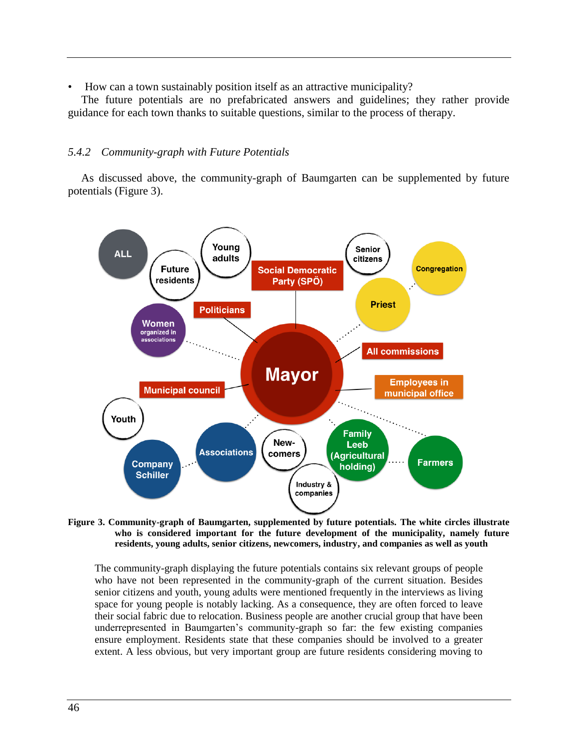• How can a town sustainably position itself as an attractive municipality?

The future potentials are no prefabricated answers and guidelines; they rather provide guidance for each town thanks to suitable questions, similar to the process of therapy.

## *5.4.2 Community-graph with Future Potentials*

As discussed above, the community-graph of Baumgarten can be supplemented by future potentials (Figure 3).



**Figure 3. Community-graph of Baumgarten, supplemented by future potentials. The white circles illustrate who is considered important for the future development of the municipality, namely future residents, young adults, senior citizens, newcomers, industry, and companies as well as youth**

The community-graph displaying the future potentials contains six relevant groups of people who have not been represented in the community-graph of the current situation. Besides senior citizens and youth, young adults were mentioned frequently in the interviews as living space for young people is notably lacking. As a consequence, they are often forced to leave their social fabric due to relocation. Business people are another crucial group that have been underrepresented in Baumgarten's community-graph so far: the few existing companies ensure employment. Residents state that these companies should be involved to a greater extent. A less obvious, but very important group are future residents considering moving to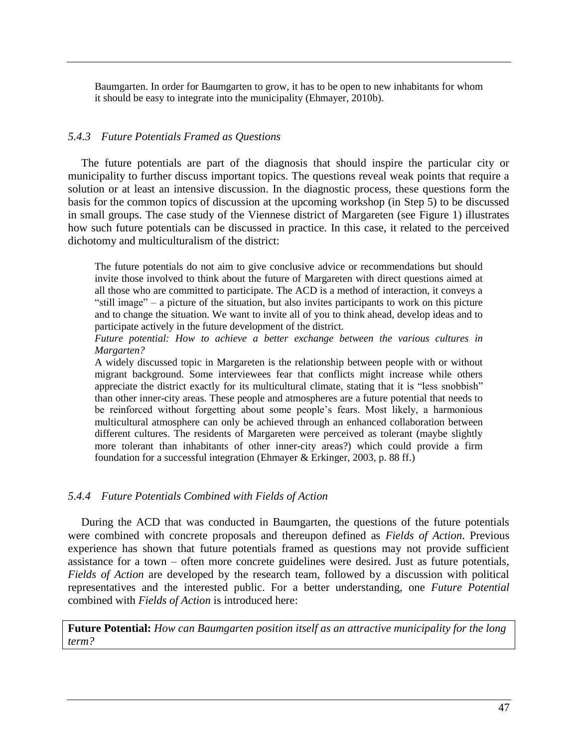Baumgarten. In order for Baumgarten to grow, it has to be open to new inhabitants for whom it should be easy to integrate into the municipality (Ehmayer, 2010b).

#### *5.4.3 Future Potentials Framed as Questions*

The future potentials are part of the diagnosis that should inspire the particular city or municipality to further discuss important topics. The questions reveal weak points that require a solution or at least an intensive discussion. In the diagnostic process, these questions form the basis for the common topics of discussion at the upcoming workshop (in Step 5) to be discussed in small groups. The case study of the Viennese district of Margareten (see Figure 1) illustrates how such future potentials can be discussed in practice. In this case, it related to the perceived dichotomy and multiculturalism of the district:

The future potentials do not aim to give conclusive advice or recommendations but should invite those involved to think about the future of Margareten with direct questions aimed at all those who are committed to participate. The ACD is a method of interaction, it conveys a "still image" – a picture of the situation, but also invites participants to work on this picture and to change the situation. We want to invite all of you to think ahead, develop ideas and to participate actively in the future development of the district.

*Future potential: How to achieve a better exchange between the various cultures in Margarten?* 

A widely discussed topic in Margareten is the relationship between people with or without migrant background. Some interviewees fear that conflicts might increase while others appreciate the district exactly for its multicultural climate, stating that it is "less snobbish" than other inner-city areas. These people and atmospheres are a future potential that needs to be reinforced without forgetting about some people's fears. Most likely, a harmonious multicultural atmosphere can only be achieved through an enhanced collaboration between different cultures. The residents of Margareten were perceived as tolerant (maybe slightly more tolerant than inhabitants of other inner-city areas?) which could provide a firm foundation for a successful integration (Ehmayer & Erkinger, 2003, p. 88 ff.)

#### *5.4.4 Future Potentials Combined with Fields of Action*

During the ACD that was conducted in Baumgarten, the questions of the future potentials were combined with concrete proposals and thereupon defined as *Fields of Action*. Previous experience has shown that future potentials framed as questions may not provide sufficient assistance for a town – often more concrete guidelines were desired. Just as future potentials, *Fields of Action* are developed by the research team, followed by a discussion with political representatives and the interested public. For a better understanding, one *Future Potential* combined with *Fields of Action* is introduced here:

**Future Potential:** *How can Baumgarten position itself as an attractive municipality for the long term?*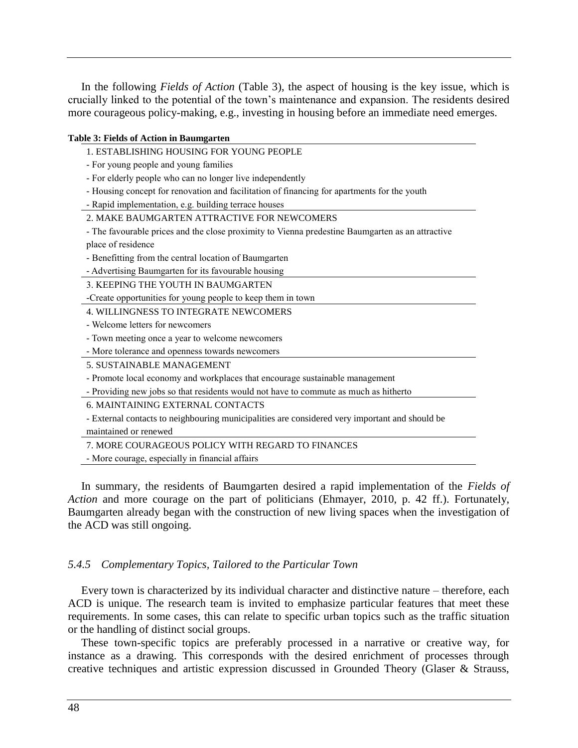In the following *Fields of Action* (Table 3), the aspect of housing is the key issue, which is crucially linked to the potential of the town's maintenance and expansion. The residents desired more courageous policy-making, e.g., investing in housing before an immediate need emerges.

| <b>Table 3: Fields of Action in Baumgarten</b>                                                   |
|--------------------------------------------------------------------------------------------------|
| 1. ESTABLISHING HOUSING FOR YOUNG PEOPLE                                                         |
| - For young people and young families                                                            |
| - For elderly people who can no longer live independently                                        |
| - Housing concept for renovation and facilitation of financing for apartments for the youth      |
| - Rapid implementation, e.g. building terrace houses                                             |
| 2. MAKE BAUMGARTEN ATTRACTIVE FOR NEWCOMERS                                                      |
| - The favourable prices and the close proximity to Vienna predestine Baumgarten as an attractive |
| place of residence                                                                               |
| - Benefitting from the central location of Baumgarten                                            |
| - Advertising Baumgarten for its favourable housing                                              |
| 3. KEEPING THE YOUTH IN BAUMGARTEN                                                               |
| -Create opportunities for young people to keep them in town                                      |
| <b>4. WILLINGNESS TO INTEGRATE NEWCOMERS</b>                                                     |
| - Welcome letters for newcomers                                                                  |
| - Town meeting once a year to welcome newcomers                                                  |
| - More tolerance and openness towards newcomers                                                  |
| 5. SUSTAINABLE MANAGEMENT                                                                        |
| - Promote local economy and workplaces that encourage sustainable management                     |
| - Providing new jobs so that residents would not have to commute as much as hitherto             |
| <b>6. MAINTAINING EXTERNAL CONTACTS</b>                                                          |
| - External contacts to neighbouring municipalities are considered very important and should be   |
| maintained or renewed                                                                            |
| 7. MORE COURAGEOUS POLICY WITH REGARD TO FINANCES                                                |
| - More courage, especially in financial affairs                                                  |
|                                                                                                  |

In summary, the residents of Baumgarten desired a rapid implementation of the *Fields of Action* and more courage on the part of politicians (Ehmayer, 2010, p. 42 ff.). Fortunately, Baumgarten already began with the construction of new living spaces when the investigation of the ACD was still ongoing.

#### *5.4.5 Complementary Topics, Tailored to the Particular Town*

Every town is characterized by its individual character and distinctive nature – therefore, each ACD is unique. The research team is invited to emphasize particular features that meet these requirements. In some cases, this can relate to specific urban topics such as the traffic situation or the handling of distinct social groups.

These town-specific topics are preferably processed in a narrative or creative way, for instance as a drawing. This corresponds with the desired enrichment of processes through creative techniques and artistic expression discussed in Grounded Theory (Glaser & Strauss,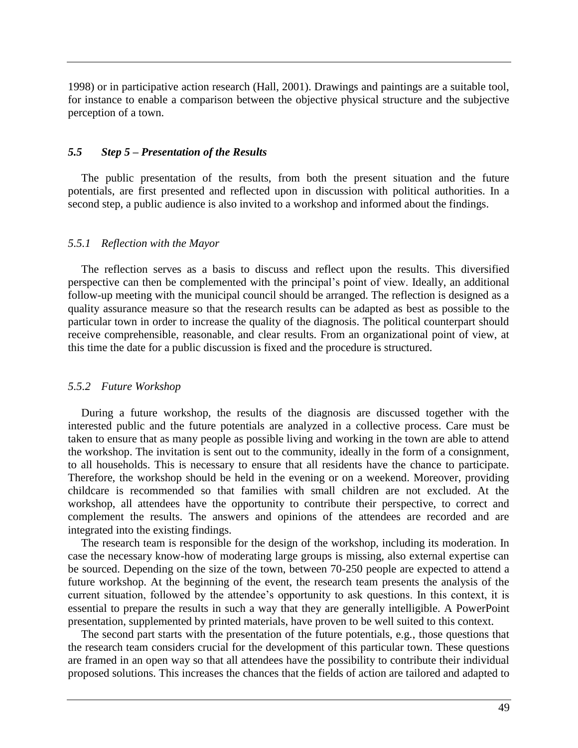1998) or in participative action research (Hall, 2001). Drawings and paintings are a suitable tool, for instance to enable a comparison between the objective physical structure and the subjective perception of a town.

#### *5.5 Step 5 – Presentation of the Results*

The public presentation of the results, from both the present situation and the future potentials, are first presented and reflected upon in discussion with political authorities. In a second step, a public audience is also invited to a workshop and informed about the findings.

#### *5.5.1 Reflection with the Mayor*

The reflection serves as a basis to discuss and reflect upon the results. This diversified perspective can then be complemented with the principal's point of view. Ideally, an additional follow-up meeting with the municipal council should be arranged. The reflection is designed as a quality assurance measure so that the research results can be adapted as best as possible to the particular town in order to increase the quality of the diagnosis. The political counterpart should receive comprehensible, reasonable, and clear results. From an organizational point of view, at this time the date for a public discussion is fixed and the procedure is structured.

#### *5.5.2 Future Workshop*

During a future workshop, the results of the diagnosis are discussed together with the interested public and the future potentials are analyzed in a collective process. Care must be taken to ensure that as many people as possible living and working in the town are able to attend the workshop. The invitation is sent out to the community, ideally in the form of a consignment, to all households. This is necessary to ensure that all residents have the chance to participate. Therefore, the workshop should be held in the evening or on a weekend. Moreover, providing childcare is recommended so that families with small children are not excluded. At the workshop, all attendees have the opportunity to contribute their perspective, to correct and complement the results. The answers and opinions of the attendees are recorded and are integrated into the existing findings.

The research team is responsible for the design of the workshop, including its moderation. In case the necessary know-how of moderating large groups is missing, also external expertise can be sourced. Depending on the size of the town, between 70-250 people are expected to attend a future workshop. At the beginning of the event, the research team presents the analysis of the current situation, followed by the attendee's opportunity to ask questions. In this context, it is essential to prepare the results in such a way that they are generally intelligible. A PowerPoint presentation, supplemented by printed materials, have proven to be well suited to this context.

The second part starts with the presentation of the future potentials, e.g., those questions that the research team considers crucial for the development of this particular town. These questions are framed in an open way so that all attendees have the possibility to contribute their individual proposed solutions. This increases the chances that the fields of action are tailored and adapted to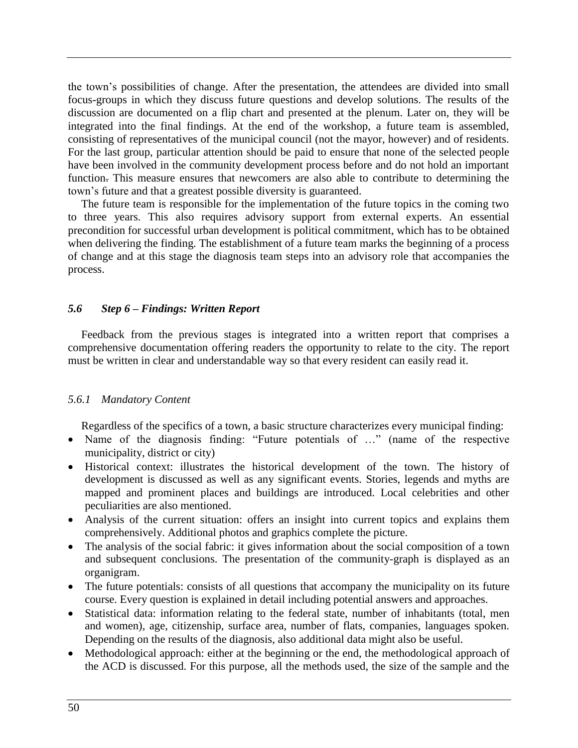the town's possibilities of change. After the presentation, the attendees are divided into small focus-groups in which they discuss future questions and develop solutions. The results of the discussion are documented on a flip chart and presented at the plenum. Later on, they will be integrated into the final findings. At the end of the workshop, a future team is assembled, consisting of representatives of the municipal council (not the mayor, however) and of residents. For the last group, particular attention should be paid to ensure that none of the selected people have been involved in the community development process before and do not hold an important function. This measure ensures that newcomers are also able to contribute to determining the town's future and that a greatest possible diversity is guaranteed.

The future team is responsible for the implementation of the future topics in the coming two to three years. This also requires advisory support from external experts. An essential precondition for successful urban development is political commitment, which has to be obtained when delivering the finding. The establishment of a future team marks the beginning of a process of change and at this stage the diagnosis team steps into an advisory role that accompanies the process.

## *5.6 Step 6 – Findings: Written Report*

Feedback from the previous stages is integrated into a written report that comprises a comprehensive documentation offering readers the opportunity to relate to the city. The report must be written in clear and understandable way so that every resident can easily read it.

# *5.6.1 Mandatory Content*

Regardless of the specifics of a town, a basic structure characterizes every municipal finding:

- Name of the diagnosis finding: "Future potentials of …" (name of the respective municipality, district or city)
- Historical context: illustrates the historical development of the town. The history of development is discussed as well as any significant events. Stories, legends and myths are mapped and prominent places and buildings are introduced. Local celebrities and other peculiarities are also mentioned.
- Analysis of the current situation: offers an insight into current topics and explains them comprehensively. Additional photos and graphics complete the picture.
- The analysis of the social fabric: it gives information about the social composition of a town and subsequent conclusions. The presentation of the community-graph is displayed as an organigram.
- The future potentials: consists of all questions that accompany the municipality on its future course. Every question is explained in detail including potential answers and approaches.
- Statistical data: information relating to the federal state, number of inhabitants (total, men and women), age, citizenship, surface area, number of flats, companies, languages spoken. Depending on the results of the diagnosis, also additional data might also be useful.
- Methodological approach: either at the beginning or the end, the methodological approach of the ACD is discussed. For this purpose, all the methods used, the size of the sample and the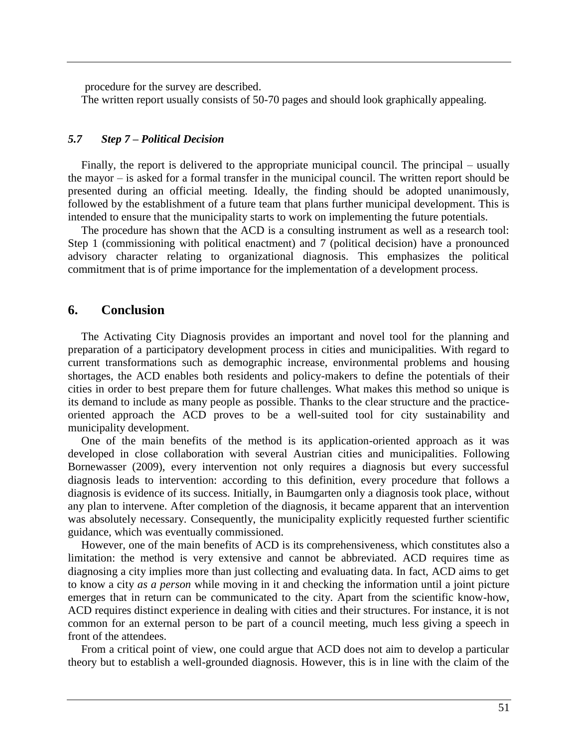procedure for the survey are described.

The written report usually consists of 50-70 pages and should look graphically appealing.

### *5.7 Step 7 – Political Decision*

Finally, the report is delivered to the appropriate municipal council. The principal – usually the mayor – is asked for a formal transfer in the municipal council. The written report should be presented during an official meeting. Ideally, the finding should be adopted unanimously, followed by the establishment of a future team that plans further municipal development. This is intended to ensure that the municipality starts to work on implementing the future potentials.

The procedure has shown that the ACD is a consulting instrument as well as a research tool: Step 1 (commissioning with political enactment) and 7 (political decision) have a pronounced advisory character relating to organizational diagnosis. This emphasizes the political commitment that is of prime importance for the implementation of a development process.

# **6. Conclusion**

The Activating City Diagnosis provides an important and novel tool for the planning and preparation of a participatory development process in cities and municipalities. With regard to current transformations such as demographic increase, environmental problems and housing shortages, the ACD enables both residents and policy-makers to define the potentials of their cities in order to best prepare them for future challenges. What makes this method so unique is its demand to include as many people as possible. Thanks to the clear structure and the practiceoriented approach the ACD proves to be a well-suited tool for city sustainability and municipality development.

One of the main benefits of the method is its application-oriented approach as it was developed in close collaboration with several Austrian cities and municipalities. Following Bornewasser (2009), every intervention not only requires a diagnosis but every successful diagnosis leads to intervention: according to this definition, every procedure that follows a diagnosis is evidence of its success. Initially, in Baumgarten only a diagnosis took place, without any plan to intervene. After completion of the diagnosis, it became apparent that an intervention was absolutely necessary. Consequently, the municipality explicitly requested further scientific guidance, which was eventually commissioned.

However, one of the main benefits of ACD is its comprehensiveness, which constitutes also a limitation: the method is very extensive and cannot be abbreviated. ACD requires time as diagnosing a city implies more than just collecting and evaluating data. In fact, ACD aims to get to know a city *as a person* while moving in it and checking the information until a joint picture emerges that in return can be communicated to the city. Apart from the scientific know-how, ACD requires distinct experience in dealing with cities and their structures. For instance, it is not common for an external person to be part of a council meeting, much less giving a speech in front of the attendees.

From a critical point of view, one could argue that ACD does not aim to develop a particular theory but to establish a well-grounded diagnosis. However, this is in line with the claim of the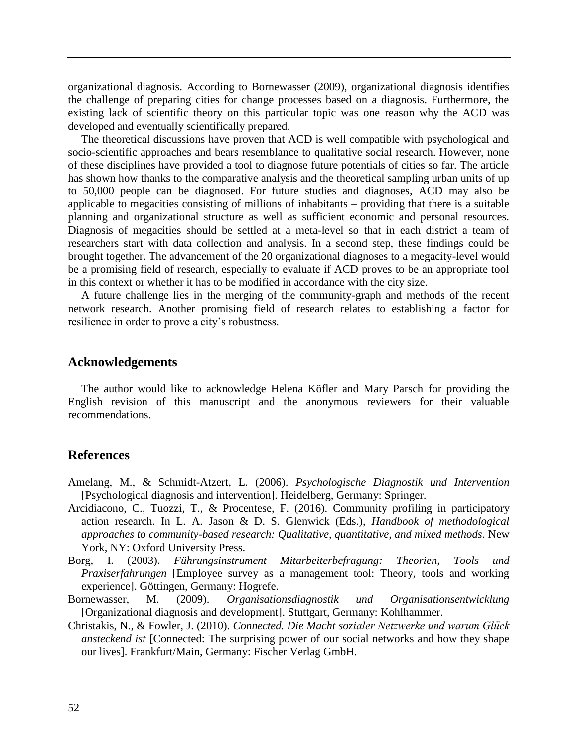organizational diagnosis. According to Bornewasser (2009), organizational diagnosis identifies the challenge of preparing cities for change processes based on a diagnosis. Furthermore, the existing lack of scientific theory on this particular topic was one reason why the ACD was developed and eventually scientifically prepared.

The theoretical discussions have proven that ACD is well compatible with psychological and socio-scientific approaches and bears resemblance to qualitative social research. However, none of these disciplines have provided a tool to diagnose future potentials of cities so far. The article has shown how thanks to the comparative analysis and the theoretical sampling urban units of up to 50,000 people can be diagnosed. For future studies and diagnoses, ACD may also be applicable to megacities consisting of millions of inhabitants – providing that there is a suitable planning and organizational structure as well as sufficient economic and personal resources. Diagnosis of megacities should be settled at a meta-level so that in each district a team of researchers start with data collection and analysis. In a second step, these findings could be brought together. The advancement of the 20 organizational diagnoses to a megacity-level would be a promising field of research, especially to evaluate if ACD proves to be an appropriate tool in this context or whether it has to be modified in accordance with the city size.

A future challenge lies in the merging of the community-graph and methods of the recent network research. Another promising field of research relates to establishing a factor for resilience in order to prove a city's robustness.

#### **Acknowledgements**

The author would like to acknowledge Helena Köfler and Mary Parsch for providing the English revision of this manuscript and the anonymous reviewers for their valuable recommendations.

### **References**

- Amelang, M., & Schmidt-Atzert, L. (2006). *Psychologische Diagnostik und Intervention* [Psychological diagnosis and intervention]. Heidelberg, Germany: Springer.
- Arcidiacono, C., Tuozzi, T., & Procentese, F. (2016). Community profiling in participatory action research. In L. A. Jason & D. S. Glenwick (Eds.), *Handbook of methodological approaches to community-based research: Qualitative, quantitative, and mixed methods*. New York, NY: Oxford University Press.
- Borg, I. (2003). *Führungsinstrument Mitarbeiterbefragung: Theorien, Tools und Praxiserfahrungen* [Employee survey as a management tool: Theory, tools and working experience]. Göttingen, Germany: Hogrefe.
- Bornewasser, M. (2009). *Organisationsdiagnostik und Organisationsentwicklung* [Organizational diagnosis and development]. Stuttgart, Germany: Kohlhammer.
- Christakis, N., & Fowler, J. (2010). *Connected. Die Macht sozialer Netzwerke und warum Glück ansteckend ist* [Connected: The surprising power of our social networks and how they shape our lives]. Frankfurt/Main, Germany: Fischer Verlag GmbH.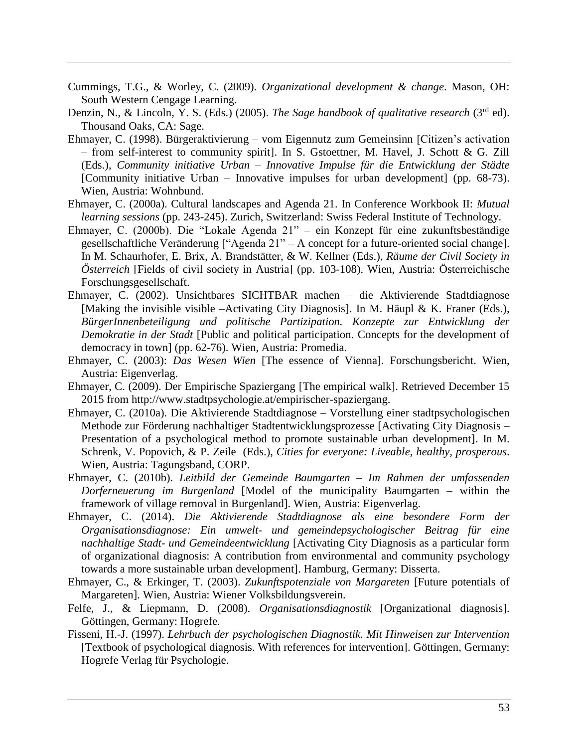- Cummings, T.G., & Worley, C. (2009). *Organizational development & change*. Mason, OH: South Western Cengage Learning.
- Denzin, N., & Lincoln, Y. S. (Eds.) (2005). *The Sage handbook of qualitative research* (3<sup>rd</sup> ed). Thousand Oaks, CA: Sage.
- Ehmayer, C. (1998). Bürgeraktivierung vom Eigennutz zum Gemeinsinn [Citizen's activation – from self-interest to community spirit]. In S. Gstoettner, M. Havel, J. Schott & G. Zill (Eds.), *Community initiative Urban – Innovative Impulse für die Entwicklung der Städte* [Community initiative Urban – Innovative impulses for urban development] (pp. 68-73). Wien, Austria: Wohnbund.
- Ehmayer, C. (2000a). Cultural landscapes and Agenda 21. In Conference Workbook II: *Mutual learning sessions* (pp. 243-245). Zurich, Switzerland: Swiss Federal Institute of Technology.
- Ehmayer, C. (2000b). Die "Lokale Agenda 21" ein Konzept für eine zukunftsbeständige gesellschaftliche Veränderung ["Agenda 21" – A concept for a future-oriented social change]. In M. Schaurhofer, E. Brix, A. Brandstätter, & W. Kellner (Eds.), *Räume der Civil Society in Österreich* [Fields of civil society in Austria] (pp. 103-108). Wien, Austria: Österreichische Forschungsgesellschaft.
- Ehmayer, C. (2002). Unsichtbares SICHTBAR machen die Aktivierende Stadtdiagnose [Making the invisible visible –Activating City Diagnosis]. In M. Häupl & K. Franer (Eds.), *BürgerInnenbeteiligung und politische Partizipation. Konzepte zur Entwicklung der Demokratie in der Stadt* [Public and political participation. Concepts for the development of democracy in town] (pp. 62-76). Wien, Austria: Promedia.
- Ehmayer, C. (2003): *Das Wesen Wien* [The essence of Vienna]. Forschungsbericht. Wien, Austria: Eigenverlag.
- Ehmayer, C. (2009). Der Empirische Spaziergang [The empirical walk]. Retrieved December 15 2015 from [http://www.stadtpsychologie.at/empirischer-spaziergang.](http://www.stadtpsychologie.at/empirischer-spaziergang)
- Ehmayer, C. (2010a). Die Aktivierende Stadtdiagnose Vorstellung einer stadtpsychologischen Methode zur Förderung nachhaltiger Stadtentwicklungsprozesse [Activating City Diagnosis – Presentation of a psychological method to promote sustainable urban development]. In M. Schrenk, V. Popovich, & P. Zeile (Eds.), *Cities for everyone: Liveable, healthy, prosperous*. Wien, Austria: Tagungsband, CORP.
- Ehmayer, C. (2010b). *Leitbild der Gemeinde Baumgarten – Im Rahmen der umfassenden Dorferneuerung im Burgenland* [Model of the municipality Baumgarten – within the framework of village removal in Burgenland]. Wien, Austria: Eigenverlag.
- Ehmayer, C. (2014). *Die Aktivierende Stadtdiagnose als eine besondere Form der Organisationsdiagnose: Ein umwelt- und gemeindepsychologischer Beitrag für eine nachhaltige Stadt- und Gemeindeentwicklung* [Activating City Diagnosis as a particular form of organizational diagnosis: A contribution from environmental and community psychology towards a more sustainable urban development]. Hamburg, Germany: Disserta.
- Ehmayer, C., & Erkinger, T. (2003). *Zukunftspotenziale von Margareten* [Future potentials of Margareten]. Wien, Austria: Wiener Volksbildungsverein.
- Felfe, J., & Liepmann, D. (2008). *Organisationsdiagnostik* [Organizational diagnosis]. Göttingen, Germany: Hogrefe.
- Fisseni, H.-J. (1997). *Lehrbuch der psychologischen Diagnostik. Mit Hinweisen zur Intervention* [Textbook of psychological diagnosis. With references for intervention]. Göttingen, Germany: Hogrefe Verlag für Psychologie.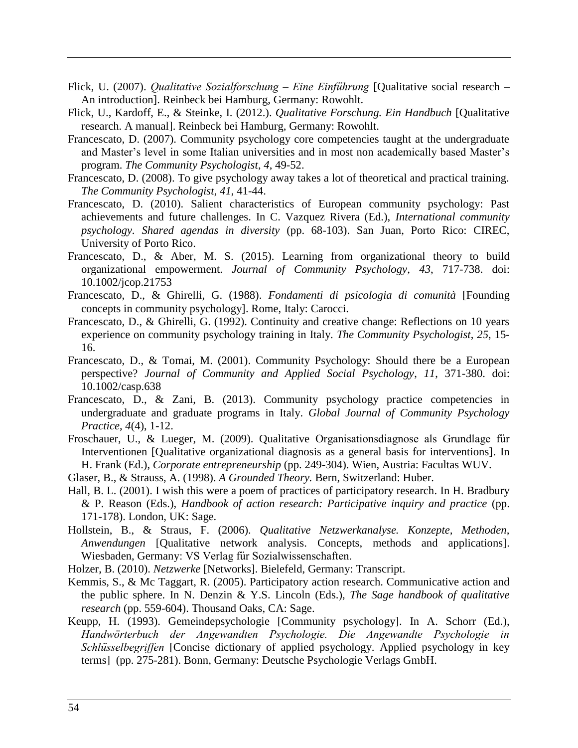- Flick, U. (2007). *Qualitative Sozialforschung – Eine Einführung* [Qualitative social research An introduction]. Reinbeck bei Hamburg, Germany: Rowohlt.
- Flick, U., Kardoff, E., & Steinke, I. (2012.). *Qualitative Forschung. Ein Handbuch* [Qualitative research. A manual]. Reinbeck bei Hamburg, Germany: Rowohlt.
- Francescato, D. (2007). Community psychology core competencies taught at the undergraduate and Master's level in some Italian universities and in most non academically based Master's program. *The Community Psychologist*, *4*, 49-52.
- Francescato, D. (2008). To give psychology away takes a lot of theoretical and practical training. *The Community Psychologist*, *41*, 41-44.
- Francescato, D. (2010). Salient characteristics of European community psychology: Past achievements and future challenges. In C. Vazquez Rivera (Ed.), *International community psychology. Shared agendas in diversity* (pp. 68-103). San Juan, Porto Rico: CIREC, University of Porto Rico.
- Francescato, D., & Aber, M. S. (2015). Learning from organizational theory to build organizational empowerment. *Journal of Community Psychology*, *43*, 717-738. doi: [10.1002/jcop.21753](http://dx.doi.org/10.1002/jcop.21753)
- Francescato, D., & Ghirelli, G. (1988). *Fondamenti di psicologia di comunità* [Founding concepts in community psychology]. Rome, Italy: Carocci.
- Francescato, D., & Ghirelli, G. (1992). Continuity and creative change: Reflections on 10 years experience on community psychology training in Italy. *The Community Psychologist*, *25*, 15- 16.
- Francescato, D., & Tomai, M. (2001). Community Psychology: Should there be a European perspective? *Journal of Community and Applied Social Psychology*, *11*, 371-380. doi: 10.1002/casp.638
- Francescato, D., & Zani, B. (2013). Community psychology practice competencies in undergraduate and graduate programs in Italy. *Global Journal of Community Psychology Practice*, *4*(4), 1-12.
- Froschauer, U., & Lueger, M. (2009). Qualitative Organisationsdiagnose als Grundlage für Interventionen [Qualitative organizational diagnosis as a general basis for interventions]. In H. Frank (Ed.), *Corporate entrepreneurship* (pp. 249-304). Wien, Austria: Facultas WUV.
- Glaser, B., & Strauss, A. (1998). *A Grounded Theory.* Bern, Switzerland: Huber.
- Hall, B. L. (2001). I wish this were a poem of practices of participatory research. In H. Bradbury & P. Reason (Eds.), *Handbook of action research: Participative inquiry and practice* (pp. 171-178). London, UK: Sage.
- Hollstein, B., & Straus, F. (2006). *Qualitative Netzwerkanalyse. Konzepte, Methoden, Anwendungen* [Qualitative network analysis. Concepts, methods and applications]. Wiesbaden, Germany: VS Verlag für Sozialwissenschaften.
- Holzer, B. (2010). *Netzwerke* [Networks]. Bielefeld, Germany: Transcript.
- Kemmis, S., & Mc Taggart, R. (2005). Participatory action research. Communicative action and the public sphere. In N. Denzin & Y.S. Lincoln (Eds.), *The Sage handbook of qualitative research* (pp. 559-604). Thousand Oaks, CA: Sage.
- Keupp, H. (1993). Gemeindepsychologie [Community psychology]. In A. Schorr (Ed.), *Handwörterbuch der Angewandten Psychologie. Die Angewandte Psychologie in Schlüsselbegriffen* [Concise dictionary of applied psychology. Applied psychology in key terms] (pp. 275-281). Bonn, Germany: Deutsche Psychologie Verlags GmbH.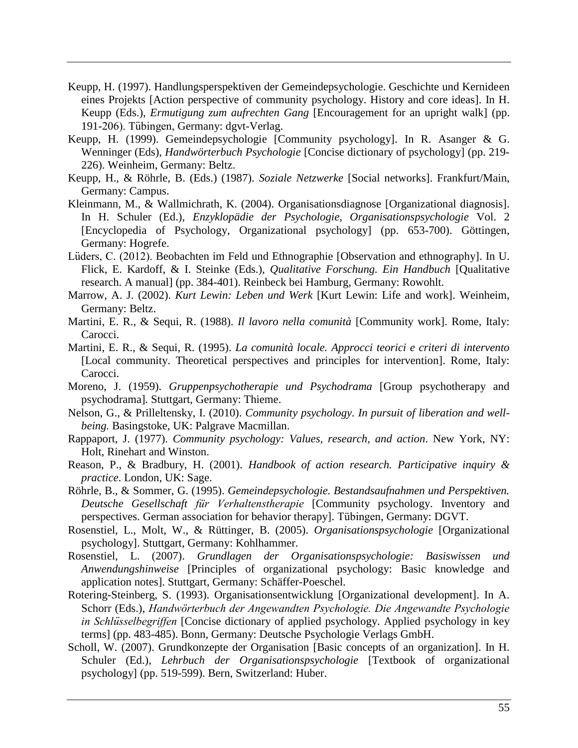- Keupp, H. (1997). Handlungsperspektiven der Gemeindepsychologie. Geschichte und Kernideen eines Projekts [Action perspective of community psychology. History and core ideas]. In H. Keupp (Eds.), *Ermutigung zum aufrechten Gang* [Encouragement for an upright walk] (pp. 191-206). Tübingen, Germany: dgvt-Verlag.
- Keupp, H. (1999). Gemeindepsychologie [Community psychology]. In R. Asanger & G. Wenninger (Eds), *Handwörterbuch Psychologie* [Concise dictionary of psychology] (pp. 219- 226). Weinheim, Germany: Beltz.
- Keupp, H., & Röhrle, B. (Eds.) (1987). *Soziale Netzwerke* [Social networks]. Frankfurt/Main, Germany: Campus.
- Kleinmann, M., & Wallmichrath, K. (2004). Organisationsdiagnose [Organizational diagnosis]. In H. Schuler (Ed.), *Enzyklopädie der Psychologie, Organisationspsychologie* Vol. 2 [Encyclopedia of Psychology, Organizational psychology] (pp. 653-700). Göttingen, Germany: Hogrefe.
- Lüders, C. (2012). Beobachten im Feld und Ethnographie [Observation and ethnography]. In U. Flick, E. Kardoff, & I. Steinke (Eds.), *Qualitative Forschung. Ein Handbuch* [Qualitative research. A manual] (pp. 384-401). Reinbeck bei Hamburg, Germany: Rowohlt.
- Marrow, A. J. (2002). *Kurt Lewin: Leben und Werk* [Kurt Lewin: Life and work]. Weinheim, Germany: Beltz.
- Martini, E. R., & Sequi, R. (1988). *Il lavoro nella comunità* [Community work]. Rome, Italy: Carocci.
- Martini, E. R., & Sequi, R. (1995). *La comunità locale. Approcci teorici e criteri di intervento* [Local community. Theoretical perspectives and principles for intervention]. Rome, Italy: Carocci.
- Moreno, J. (1959). *Gruppenpsychotherapie und Psychodrama* [Group psychotherapy and psychodrama]*.* Stuttgart, Germany: Thieme.
- Nelson, G., & Prilleltensky, I. (2010). *Community psychology. In pursuit of liberation and wellbeing.* Basingstoke, UK: Palgrave Macmillan.
- Rappaport, J. (1977). *Community psychology: Values, research, and action*. New York, NY: Holt, Rinehart and Winston.
- Reason, P., & Bradbury, H. (2001). *Handbook of action research. Participative inquiry & practice*. London, UK: Sage.
- Röhrle, B., & Sommer, G. (1995). *Gemeindepsychologie. Bestandsaufnahmen und Perspektiven. Deutsche Gesellschaft für Verhaltenstherapie* [Community psychology. Inventory and perspectives. German association for behavior therapy]. Tübingen, Germany: DGVT.
- Rosenstiel, L., Molt, W., & Rüttinger, B. (2005). *Organisationspsychologie* [Organizational psychology]. Stuttgart, Germany: Kohlhammer.
- Rosenstiel, L. (2007). *Grundlagen der Organisationspsychologie: Basiswissen und Anwendungshinweise* [Principles of organizational psychology: Basic knowledge and application notes]. Stuttgart, Germany: Schäffer-Poeschel.
- Rotering-Steinberg, S. (1993). Organisationsentwicklung [Organizational development]. In A. Schorr (Eds.), *Handwörterbuch der Angewandten Psychologie. Die Angewandte Psychologie in Schlüsselbegriffen* [Concise dictionary of applied psychology. Applied psychology in key terms] (pp. 483-485). Bonn, Germany: Deutsche Psychologie Verlags GmbH.
- Scholl, W. (2007). Grundkonzepte der Organisation [Basic concepts of an organization]. In H. Schuler (Ed.), *Lehrbuch der Organisationspsychologie* [Textbook of organizational psychology] (pp. 519-599). Bern, Switzerland: Huber.